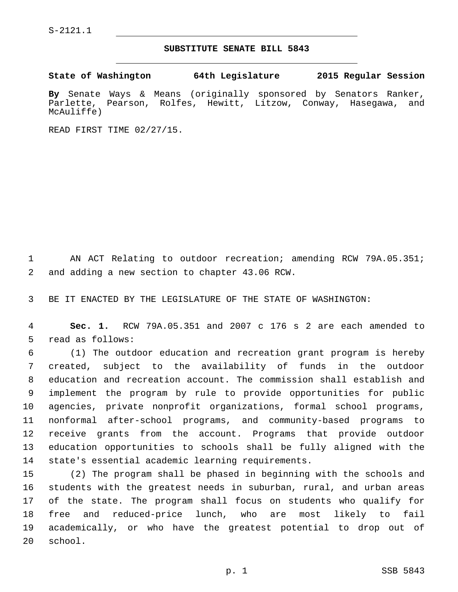S-2121.1

## **SUBSTITUTE SENATE BILL 5843**

**State of Washington 64th Legislature 2015 Regular Session**

**By** Senate Ways & Means (originally sponsored by Senators Ranker, Parlette, Pearson, Rolfes, Hewitt, Litzow, Conway, Hasegawa, and McAuliffe)

READ FIRST TIME 02/27/15.

1 AN ACT Relating to outdoor recreation; amending RCW 79A.05.351; 2 and adding a new section to chapter 43.06 RCW.

3 BE IT ENACTED BY THE LEGISLATURE OF THE STATE OF WASHINGTON:

4 **Sec. 1.** RCW 79A.05.351 and 2007 c 176 s 2 are each amended to 5 read as follows:

 (1) The outdoor education and recreation grant program is hereby created, subject to the availability of funds in the outdoor education and recreation account. The commission shall establish and implement the program by rule to provide opportunities for public agencies, private nonprofit organizations, formal school programs, nonformal after-school programs, and community-based programs to receive grants from the account. Programs that provide outdoor education opportunities to schools shall be fully aligned with the 14 state's essential academic learning requirements.

 (2) The program shall be phased in beginning with the schools and students with the greatest needs in suburban, rural, and urban areas of the state. The program shall focus on students who qualify for free and reduced-price lunch, who are most likely to fail academically, or who have the greatest potential to drop out of 20 school.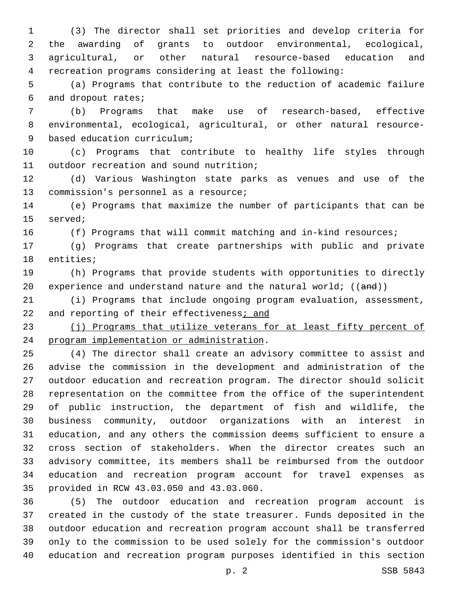(3) The director shall set priorities and develop criteria for the awarding of grants to outdoor environmental, ecological, agricultural, or other natural resource-based education and recreation programs considering at least the following:

 (a) Programs that contribute to the reduction of academic failure 6 and dropout rates;

 (b) Programs that make use of research-based, effective environmental, ecological, agricultural, or other natural resource-9 based education curriculum;

 (c) Programs that contribute to healthy life styles through 11 outdoor recreation and sound nutrition;

 (d) Various Washington state parks as venues and use of the 13 commission's personnel as a resource;

 (e) Programs that maximize the number of participants that can be 15 served;

(f) Programs that will commit matching and in-kind resources;

 (g) Programs that create partnerships with public and private 18 entities;

 (h) Programs that provide students with opportunities to directly 20 experience and understand nature and the natural world;  $((and))$ 

 (i) Programs that include ongoing program evaluation, assessment, 22 and reporting of their effectiveness; and

23 (j) Programs that utilize veterans for at least fifty percent of 24 program implementation or administration.

 (4) The director shall create an advisory committee to assist and advise the commission in the development and administration of the outdoor education and recreation program. The director should solicit representation on the committee from the office of the superintendent of public instruction, the department of fish and wildlife, the business community, outdoor organizations with an interest in education, and any others the commission deems sufficient to ensure a cross section of stakeholders. When the director creates such an advisory committee, its members shall be reimbursed from the outdoor education and recreation program account for travel expenses as 35 provided in RCW 43.03.050 and 43.03.060.

 (5) The outdoor education and recreation program account is created in the custody of the state treasurer. Funds deposited in the outdoor education and recreation program account shall be transferred only to the commission to be used solely for the commission's outdoor education and recreation program purposes identified in this section